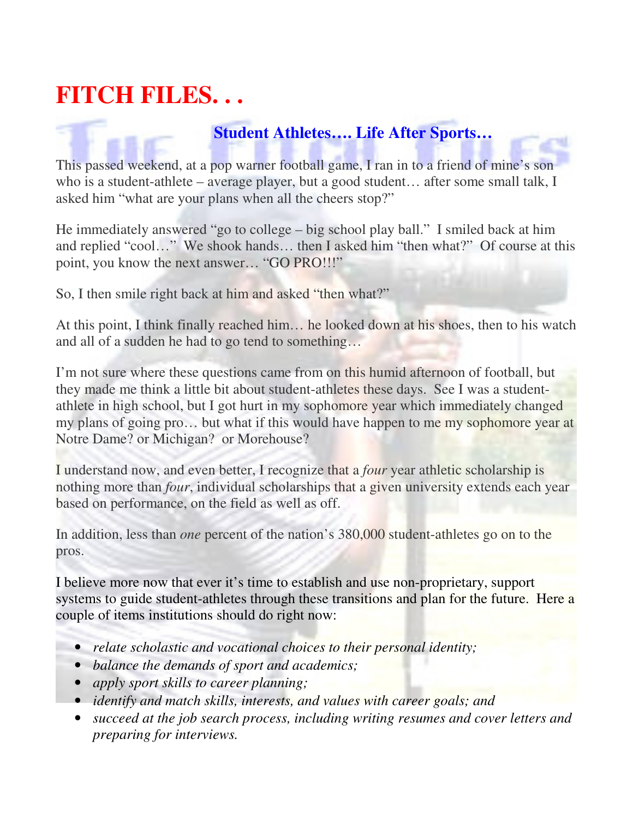## **FITCH FILES. . .**

## **Student Athletes…. Life After Sports…**

This passed weekend, at a pop warner football game, I ran in to a friend of mine's son who is a student-athlete – average player, but a good student… after some small talk, I asked him "what are your plans when all the cheers stop?"

He immediately answered "go to college – big school play ball." I smiled back at him and replied "cool…" We shook hands… then I asked him "then what?" Of course at this point, you know the next answer… "GO PRO!!!"

So, I then smile right back at him and asked "then what?"

At this point, I think finally reached him… he looked down at his shoes, then to his watch and all of a sudden he had to go tend to something…

I'm not sure where these questions came from on this humid afternoon of football, but they made me think a little bit about student-athletes these days. See I was a studentathlete in high school, but I got hurt in my sophomore year which immediately changed my plans of going pro… but what if this would have happen to me my sophomore year at Notre Dame? or Michigan? or Morehouse?

I understand now, and even better, I recognize that a *four* year athletic scholarship is nothing more than *four*, individual scholarships that a given university extends each year based on performance, on the field as well as off.

In addition, less than *one* percent of the nation's 380,000 student-athletes go on to the pros.

I believe more now that ever it's time to establish and use non-proprietary, support systems to guide student-athletes through these transitions and plan for the future. Here a couple of items institutions should do right now:

- *relate scholastic and vocational choices to their personal identity;*
- *balance the demands of sport and academics;*
- *apply sport skills to career planning;*
- *identify and match skills, interests, and values with career goals; and*
- *succeed at the job search process, including writing resumes and cover letters and preparing for interviews.*